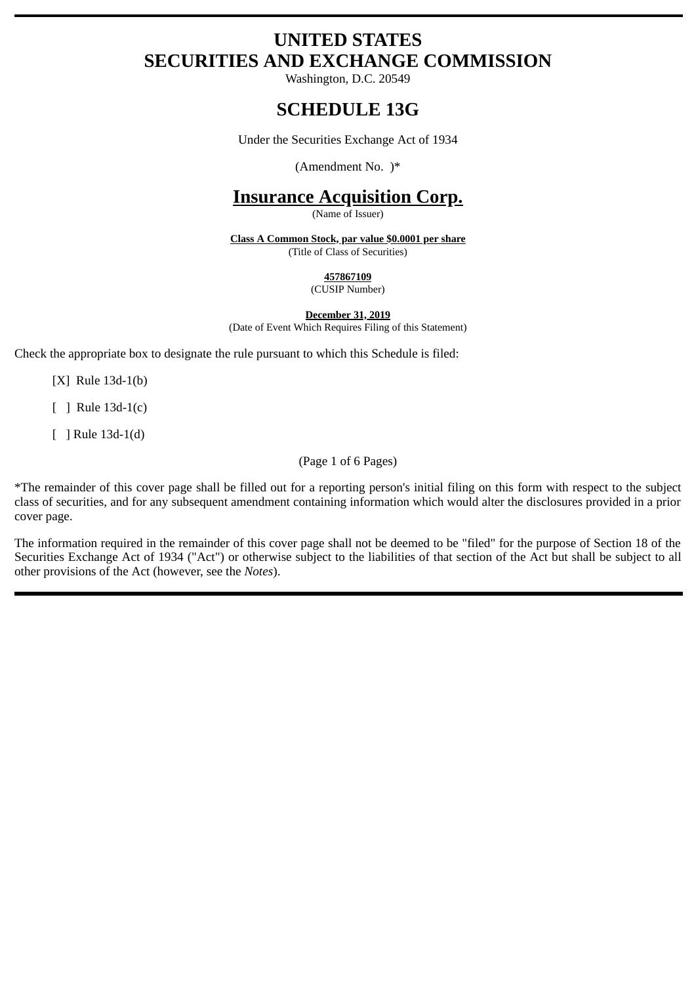# **UNITED STATES SECURITIES AND EXCHANGE COMMISSION**

Washington, D.C. 20549

## **SCHEDULE 13G**

Under the Securities Exchange Act of 1934

(Amendment No. )\*

## **Insurance Acquisition Corp.**

(Name of Issuer)

**Class A Common Stock, par value \$0.0001 per share** (Title of Class of Securities)

**457867109**

(CUSIP Number)

**December 31, 2019** (Date of Event Which Requires Filing of this Statement)

Check the appropriate box to designate the rule pursuant to which this Schedule is filed:

[X] Rule 13d-1(b)

[ ] Rule 13d-1(c)

[ ] Rule 13d-1(d)

(Page 1 of 6 Pages)

\*The remainder of this cover page shall be filled out for a reporting person's initial filing on this form with respect to the subject class of securities, and for any subsequent amendment containing information which would alter the disclosures provided in a prior cover page.

The information required in the remainder of this cover page shall not be deemed to be "filed" for the purpose of Section 18 of the Securities Exchange Act of 1934 ("Act") or otherwise subject to the liabilities of that section of the Act but shall be subject to all other provisions of the Act (however, see the *Notes*).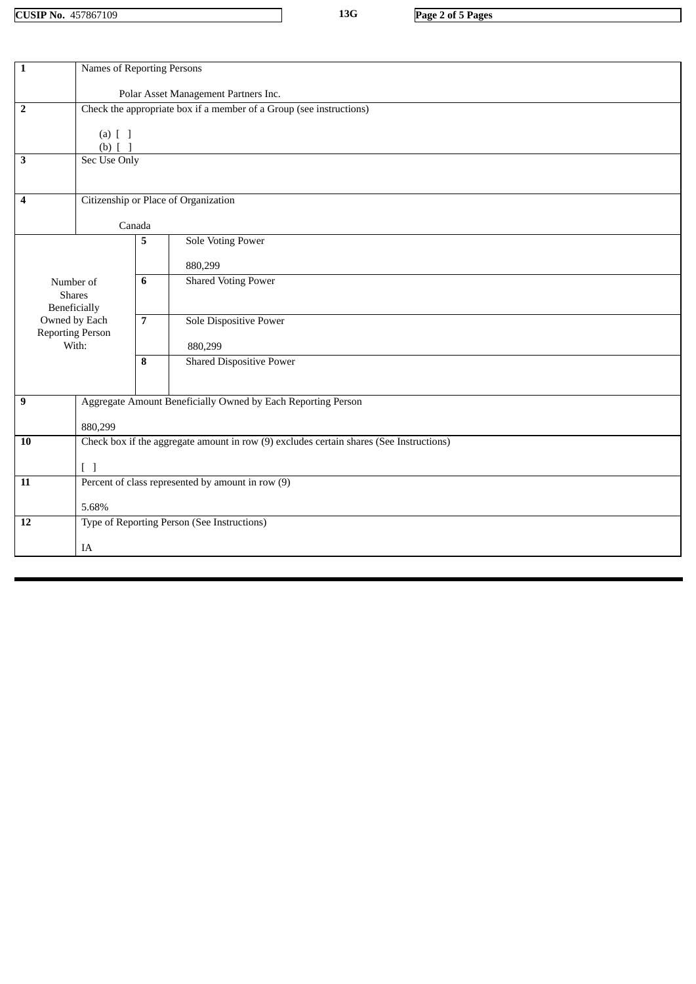**CUSIP No.** 457867109 **13G Page 2 of 5 Pages**

| Names of Reporting Persons                                                              |                                                                                                                                                               |                                 |
|-----------------------------------------------------------------------------------------|---------------------------------------------------------------------------------------------------------------------------------------------------------------|---------------------------------|
| Polar Asset Management Partners Inc.                                                    |                                                                                                                                                               |                                 |
| Check the appropriate box if a member of a Group (see instructions)                     |                                                                                                                                                               |                                 |
|                                                                                         |                                                                                                                                                               |                                 |
|                                                                                         |                                                                                                                                                               |                                 |
| Sec Use Only                                                                            |                                                                                                                                                               |                                 |
|                                                                                         |                                                                                                                                                               |                                 |
| Citizenship or Place of Organization                                                    |                                                                                                                                                               |                                 |
|                                                                                         |                                                                                                                                                               |                                 |
| <b>Sole Voting Power</b>                                                                |                                                                                                                                                               |                                 |
|                                                                                         |                                                                                                                                                               |                                 |
|                                                                                         |                                                                                                                                                               | 880,299                         |
|                                                                                         |                                                                                                                                                               | <b>Shared Voting Power</b>      |
|                                                                                         |                                                                                                                                                               |                                 |
|                                                                                         | $\overline{7}$                                                                                                                                                | <b>Sole Dispositive Power</b>   |
|                                                                                         |                                                                                                                                                               | 880,299                         |
|                                                                                         | 8                                                                                                                                                             | <b>Shared Dispositive Power</b> |
|                                                                                         |                                                                                                                                                               |                                 |
| Aggregate Amount Beneficially Owned by Each Reporting Person<br>$\boldsymbol{9}$        |                                                                                                                                                               |                                 |
|                                                                                         |                                                                                                                                                               |                                 |
| Check box if the aggregate amount in row (9) excludes certain shares (See Instructions) |                                                                                                                                                               |                                 |
|                                                                                         |                                                                                                                                                               |                                 |
| Percent of class represented by amount in row (9)                                       |                                                                                                                                                               |                                 |
|                                                                                         |                                                                                                                                                               |                                 |
|                                                                                         |                                                                                                                                                               |                                 |
| Type of Reporting Person (See Instructions)                                             |                                                                                                                                                               |                                 |
| IA                                                                                      |                                                                                                                                                               |                                 |
|                                                                                         | $(a)$ $[$ $]$<br>(b) $[$ $]$<br>Number of<br><b>Shares</b><br>Beneficially<br>Owned by Each<br><b>Reporting Person</b><br>With:<br>880,299<br>$[\ ]$<br>5.68% | Canada<br>5<br>6                |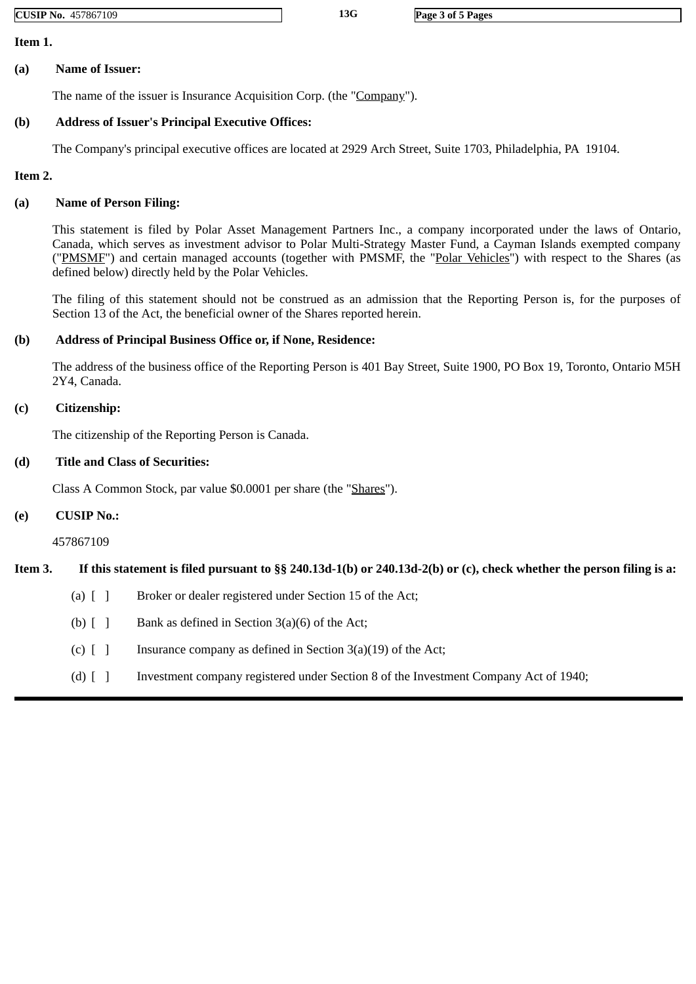**CUSIP No.** 457867109 **13G Page 3 of 5 Pages**

**Item 1.**

#### **(a) Name of Issuer:**

The name of the issuer is Insurance Acquisition Corp. (the "Company").

## **(b) Address of Issuer's Principal Executive Offices:**

The Company's principal executive offices are located at 2929 Arch Street, Suite 1703, Philadelphia, PA 19104.

#### **Item 2.**

## **(a) Name of Person Filing:**

This statement is filed by Polar Asset Management Partners Inc., a company incorporated under the laws of Ontario, Canada, which serves as investment advisor to Polar Multi-Strategy Master Fund, a Cayman Islands exempted company ("PMSMF") and certain managed accounts (together with PMSMF, the "Polar Vehicles") with respect to the Shares (as defined below) directly held by the Polar Vehicles.

The filing of this statement should not be construed as an admission that the Reporting Person is, for the purposes of Section 13 of the Act, the beneficial owner of the Shares reported herein.

## **(b) Address of Principal Business Office or, if None, Residence:**

The address of the business office of the Reporting Person is 401 Bay Street, Suite 1900, PO Box 19, Toronto, Ontario M5H 2Y4, Canada.

#### **(c) Citizenship:**

The citizenship of the Reporting Person is Canada.

## **(d) Title and Class of Securities:**

Class A Common Stock, par value \$0.0001 per share (the "Shares").

### **(e) CUSIP No.:**

457867109

## **Item 3. If this statement is filed pursuant to §§ 240.13d-1(b) or 240.13d-2(b) or (c), check whether the person filing is a:**

- (a)  $\begin{bmatrix} 1 \\ 1 \end{bmatrix}$  Broker or dealer registered under Section 15 of the Act;
- (b)  $\lceil \cdot \rceil$  Bank as defined in Section 3(a)(6) of the Act;
- (c)  $\begin{bmatrix} 1 \end{bmatrix}$  Insurance company as defined in Section 3(a)(19) of the Act;
- (d) [ ] Investment company registered under Section 8 of the Investment Company Act of 1940;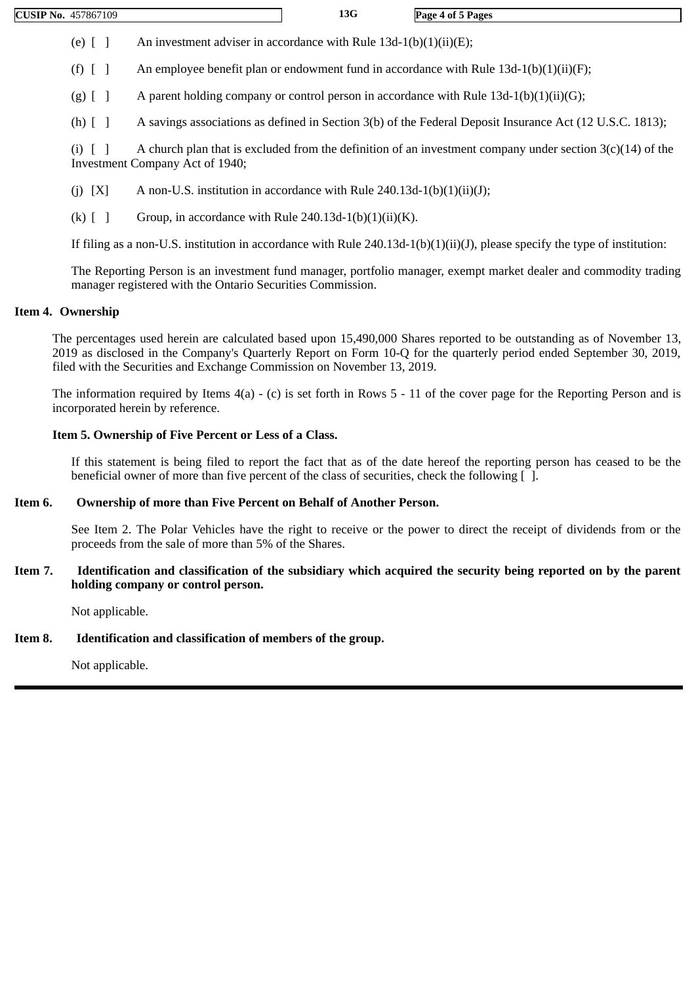(e)  $\lceil$  ] An investment adviser in accordance with Rule 13d-1(b)(1)(ii)(E);

(f)  $\lceil \rceil$  An employee benefit plan or endowment fund in accordance with Rule 13d-1(b)(1)(ii)(F);

(g)  $\lceil \cdot \rceil$  A parent holding company or control person in accordance with Rule 13d-1(b)(1)(ii)(G);

(h) [ ] A savings associations as defined in Section 3(b) of the Federal Deposit Insurance Act (12 U.S.C. 1813);

(i)  $\lceil \rceil$  A church plan that is excluded from the definition of an investment company under section 3(c)(14) of the Investment Company Act of 1940;

- (j)  $[X]$  A non-U.S. institution in accordance with Rule 240.13d-1(b)(1)(ii)(J);
- (k)  $\begin{bmatrix} \end{bmatrix}$  Group, in accordance with Rule 240.13d-1(b)(1)(ii)(K).

If filing as a non-U.S. institution in accordance with Rule 240.13d-1(b)(1)(ii)(J), please specify the type of institution:

The Reporting Person is an investment fund manager, portfolio manager, exempt market dealer and commodity trading manager registered with the Ontario Securities Commission.

#### **Item 4. Ownership**

The percentages used herein are calculated based upon 15,490,000 Shares reported to be outstanding as of November 13, 2019 as disclosed in the Company's Quarterly Report on Form 10-Q for the quarterly period ended September 30, 2019, filed with the Securities and Exchange Commission on November 13, 2019.

The information required by Items 4(a) - (c) is set forth in Rows 5 - 11 of the cover page for the Reporting Person and is incorporated herein by reference.

#### **Item 5. Ownership of Five Percent or Less of a Class.**

If this statement is being filed to report the fact that as of the date hereof the reporting person has ceased to be the beneficial owner of more than five percent of the class of securities, check the following [ ].

#### **Item 6. Ownership of more than Five Percent on Behalf of Another Person.**

See Item 2. The Polar Vehicles have the right to receive or the power to direct the receipt of dividends from or the proceeds from the sale of more than 5% of the Shares.

**Item 7. Identification and classification of the subsidiary which acquired the security being reported on by the parent holding company or control person.**

Not applicable.

## **Item 8. Identification and classification of members of the group.**

Not applicable.